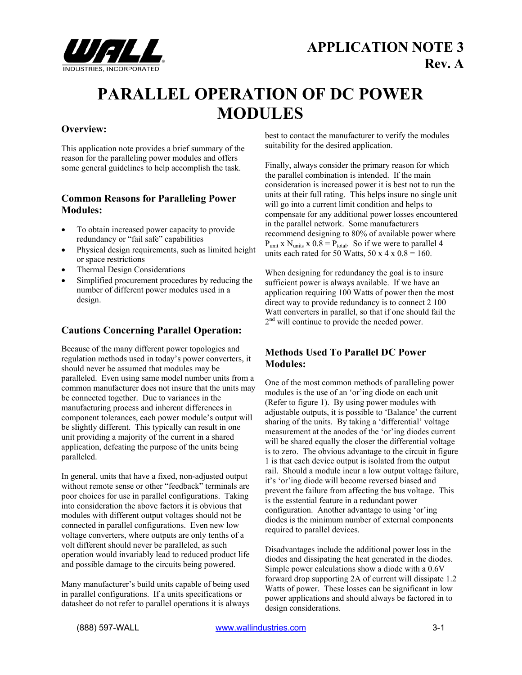

# **PARALLEL OPERATION OF DC POWER MODULES**

## **Overview:**

This application note provides a brief summary of the reason for the paralleling power modules and offers some general guidelines to help accomplish the task.

## **Common Reasons for Paralleling Power Modules:**

- To obtain increased power capacity to provide redundancy or "fail safe" capabilities
- Physical design requirements, such as limited height or space restrictions
- Thermal Design Considerations
- Simplified procurement procedures by reducing the number of different power modules used in a design.

# **Cautions Concerning Parallel Operation:**

Because of the many different power topologies and regulation methods used in today's power converters, it should never be assumed that modules may be paralleled. Even using same model number units from a common manufacturer does not insure that the units may be connected together. Due to variances in the manufacturing process and inherent differences in component tolerances, each power module's output will be slightly different. This typically can result in one unit providing a majority of the current in a shared application, defeating the purpose of the units being paralleled.

In general, units that have a fixed, non-adjusted output without remote sense or other "feedback" terminals are poor choices for use in parallel configurations. Taking into consideration the above factors it is obvious that modules with different output voltages should not be connected in parallel configurations. Even new low voltage converters, where outputs are only tenths of a volt different should never be paralleled, as such operation would invariably lead to reduced product life and possible damage to the circuits being powered.

Many manufacturer's build units capable of being used in parallel configurations. If a units specifications or datasheet do not refer to parallel operations it is always best to contact the manufacturer to verify the modules suitability for the desired application.

Finally, always consider the primary reason for which the parallel combination is intended. If the main consideration is increased power it is best not to run the units at their full rating. This helps insure no single unit will go into a current limit condition and helps to compensate for any additional power losses encountered in the parallel network. Some manufacturers recommend designing to 80% of available power where  $P_{unit}$  x  $N_{units}$  x  $0.8 = P_{total}$ . So if we were to parallel 4 units each rated for 50 Watts,  $50 \times 4 \times 0.8 = 160$ .

When designing for redundancy the goal is to insure sufficient power is always available. If we have an application requiring 100 Watts of power then the most direct way to provide redundancy is to connect 2 100 Watt converters in parallel, so that if one should fail the  $2<sup>nd</sup>$  will continue to provide the needed power.

# **Methods Used To Parallel DC Power Modules:**

One of the most common methods of paralleling power modules is the use of an 'or'ing diode on each unit (Refer to figure 1). By using power modules with adjustable outputs, it is possible to 'Balance' the current sharing of the units. By taking a 'differential' voltage measurement at the anodes of the 'or'ing diodes current will be shared equally the closer the differential voltage is to zero. The obvious advantage to the circuit in figure 1 is that each device output is isolated from the output rail. Should a module incur a low output voltage failure, it's 'or'ing diode will become reversed biased and prevent the failure from affecting the bus voltage. This is the esstential feature in a redundant power configuration. Another advantage to using 'or'ing diodes is the minimum number of external components required to parallel devices.

Disadvantages include the additional power loss in the diodes and dissipating the heat generated in the diodes. Simple power calculations show a diode with a 0.6V forward drop supporting 2A of current will dissipate 1.2 Watts of power. These losses can be significant in low power applications and should always be factored in to design considerations.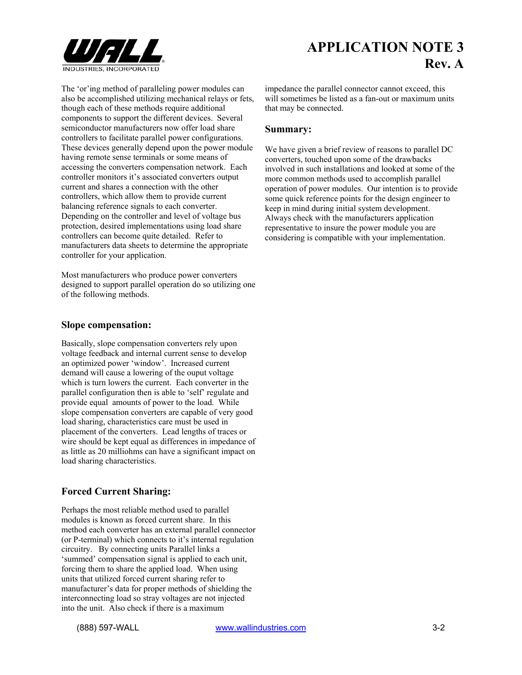

**APPLICATION NOTE 3 Rev. A**

The 'or'ing method of paralleling power modules can also be accomplished utilizing mechanical relays or fets, though each of these methods require additional components to support the different devices. Several semiconductor manufacturers now offer load share controllers to facilitate parallel power configurations. These devices generally depend upon the power module having remote sense terminals or some means of accessing the converters compensation network. Each controller monitors it's associated converters output current and shares a connection with the other controllers, which allow them to provide current balancing reference signals to each converter. Depending on the controller and level of voltage bus protection, desired implementations using load share controllers can become quite detailed. Refer to manufacturers data sheets to determine the appropriate controller for your application.

Most manufacturers who produce power converters designed to support parallel operation do so utilizing one of the following methods.

#### **Slope compensation:**

Basically, slope compensation converters rely upon voltage feedback and internal current sense to develop an optimized power 'window'. Increased current demand will cause a lowering of the ouput voltage which is turn lowers the current. Each converter in the parallel configuration then is able to 'self' regulate and provide equal amounts of power to the load. While slope compensation converters are capable of very good load sharing, characteristics care must be used in placement of the converters. Lead lengths of traces or wire should be kept equal as differences in impedance of as little as 20 milliohms can have a significant impact on load sharing characteristics.

### **Forced Current Sharing:**

Perhaps the most reliable method used to parallel modules is known as forced current share. In this method each converter has an external parallel connector (or P-terminal) which connects to it's internal regulation circuitry. By connecting units Parallel links a 'summed' compensation signal is applied to each unit, forcing them to share the applied load. When using units that utilized forced current sharing refer to manufacturer's data for proper methods of shielding the interconnecting load so stray voltages are not injected into the unit. Also check if there is a maximum

impedance the parallel connector cannot exceed, this will sometimes be listed as a fan-out or maximum units that may be connected.

#### **Summary:**

We have given a brief review of reasons to parallel DC converters, touched upon some of the drawbacks involved in such installations and looked at some of the more common methods used to accomplish parallel operation of power modules. Our intention is to provide some quick reference points for the design engineer to keep in mind during initial system development. Always check with the manufacturers application representative to insure the power module you are considering is compatible with your implementation.